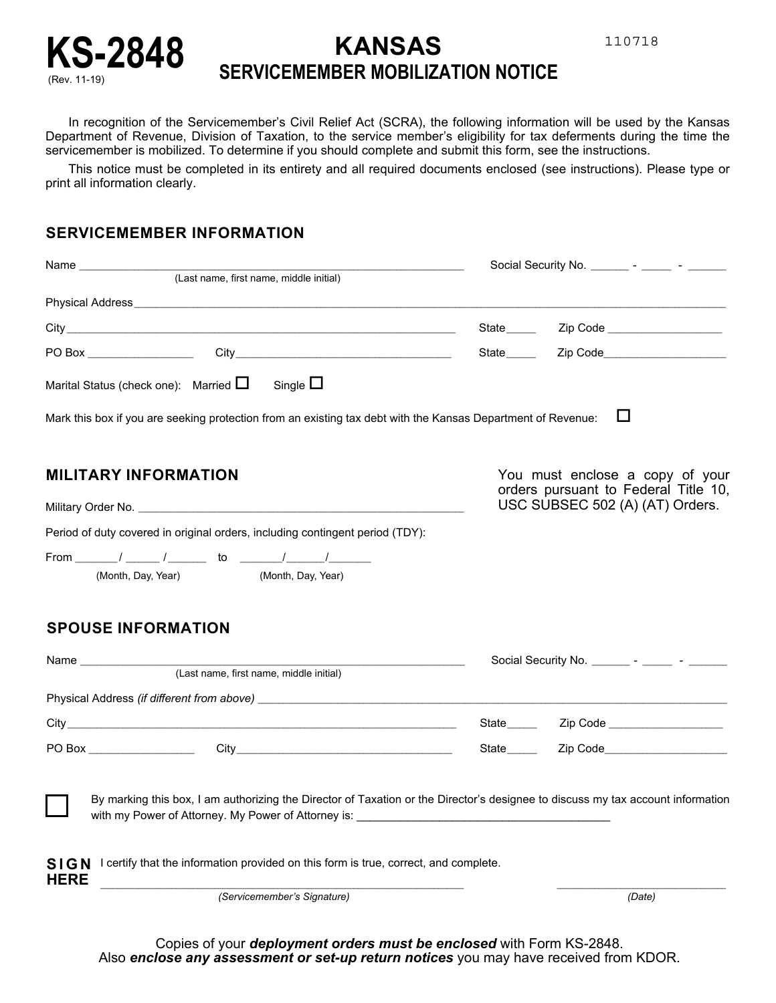



## KS-2848 **KANSAS**<br>SERVICEMEMBER MOBILIZA **SERVICEMEMBER MOBILIZATION NOTICE**

In recognition of the Servicemember's Civil Relief Act (SCRA), the following information will be used by the Kansas Department of Revenue, Division of Taxation, to the service member's eligibility for tax deferments during the time the servicemember is mobilized. To determine if you should complete and submit this form, see the instructions.

This notice must be completed in its entirety and all required documents enclosed (see instructions). Please type or print all information clearly.

## **SERVICEMEMBER INFORMATION**

| Name <b>contract the contract of the contract of the contract of the contract of the contract of the contract of the contract of the contract of the contract of the contract of the contract of the contract of the contract of</b><br>(Last name, first name, middle initial)                                                 | Social Security No. __________ - ________ - _________                                                      |                                                                                                                 |
|---------------------------------------------------------------------------------------------------------------------------------------------------------------------------------------------------------------------------------------------------------------------------------------------------------------------------------|------------------------------------------------------------------------------------------------------------|-----------------------------------------------------------------------------------------------------------------|
|                                                                                                                                                                                                                                                                                                                                 |                                                                                                            |                                                                                                                 |
|                                                                                                                                                                                                                                                                                                                                 |                                                                                                            |                                                                                                                 |
|                                                                                                                                                                                                                                                                                                                                 | State_____                                                                                                 | Zip Code ____________________                                                                                   |
|                                                                                                                                                                                                                                                                                                                                 | State_____                                                                                                 | Zip Code______________________                                                                                  |
| Single $\Box$<br>Marital Status (check one): Married $\Box$                                                                                                                                                                                                                                                                     |                                                                                                            |                                                                                                                 |
| Mark this box if you are seeking protection from an existing tax debt with the Kansas Department of Revenue:                                                                                                                                                                                                                    |                                                                                                            | ப                                                                                                               |
| <b>MILITARY INFORMATION</b>                                                                                                                                                                                                                                                                                                     | You must enclose a copy of your<br>orders pursuant to Federal Title 10,<br>USC SUBSEC 502 (A) (AT) Orders. |                                                                                                                 |
|                                                                                                                                                                                                                                                                                                                                 |                                                                                                            |                                                                                                                 |
| Period of duty covered in original orders, including contingent period (TDY):                                                                                                                                                                                                                                                   |                                                                                                            |                                                                                                                 |
|                                                                                                                                                                                                                                                                                                                                 |                                                                                                            |                                                                                                                 |
| (Month, Day, Year)<br>(Month, Day, Year)                                                                                                                                                                                                                                                                                        |                                                                                                            |                                                                                                                 |
| <b>SPOUSE INFORMATION</b><br>(Last name, first name, middle initial)                                                                                                                                                                                                                                                            | Social Security No.                                                                                        |                                                                                                                 |
|                                                                                                                                                                                                                                                                                                                                 |                                                                                                            |                                                                                                                 |
|                                                                                                                                                                                                                                                                                                                                 |                                                                                                            | State Zip Code Zip Contract Contract Contract Contract Contract Contract Contract Contract Contract Contract Co |
|                                                                                                                                                                                                                                                                                                                                 | State_____                                                                                                 | Zip Code_____________________                                                                                   |
| By marking this box, I am authorizing the Director of Taxation or the Director's designee to discuss my tax account information<br>with my Power of Attorney. My Power of Attorney is: ____________________________<br>SIGN I certify that the information provided on this form is true, correct, and complete.<br><b>HERE</b> |                                                                                                            |                                                                                                                 |
| (Servicemember's Signature)                                                                                                                                                                                                                                                                                                     |                                                                                                            | (Date)                                                                                                          |

Copies of your *deployment orders must be enclosed* with Form KS-2848. Also *enclose any assessment or set-up return notices* you may have received from KDOR.